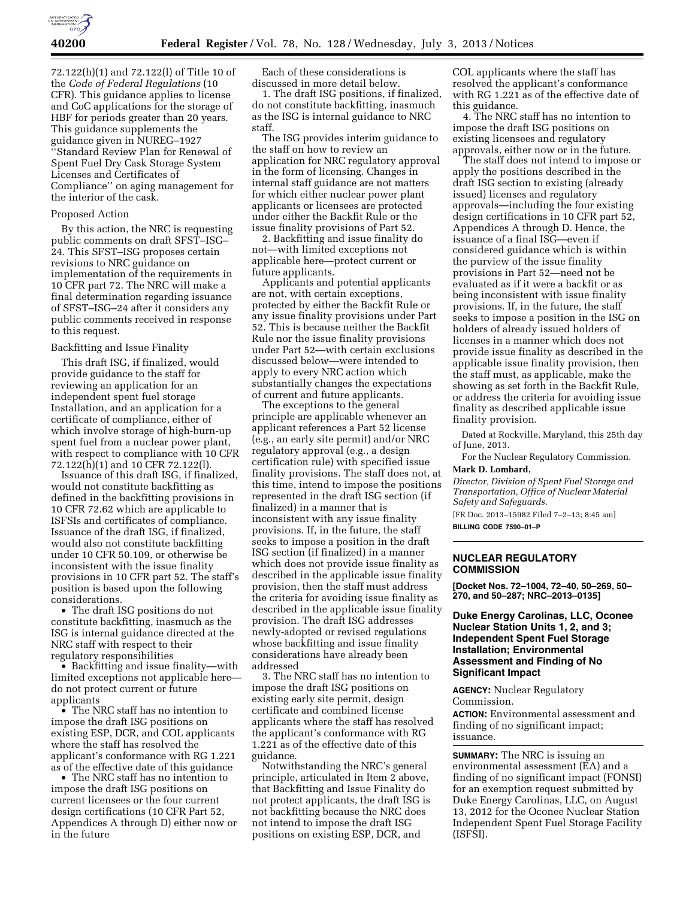

72.122(h)(1) and 72.122(l) of Title 10 of the *Code of Federal Regulations* (10 CFR). This guidance applies to license and CoC applications for the storage of HBF for periods greater than 20 years. This guidance supplements the guidance given in NUREG–1927 ''Standard Review Plan for Renewal of Spent Fuel Dry Cask Storage System Licenses and Certificates of Compliance'' on aging management for the interior of the cask.

## Proposed Action

By this action, the NRC is requesting public comments on draft SFST–ISG– 24. This SFST–ISG proposes certain revisions to NRC guidance on implementation of the requirements in 10 CFR part 72. The NRC will make a final determination regarding issuance of SFST–ISG–24 after it considers any public comments received in response to this request.

## Backfitting and Issue Finality

This draft ISG, if finalized, would provide guidance to the staff for reviewing an application for an independent spent fuel storage Installation, and an application for a certificate of compliance, either of which involve storage of high-burn-up spent fuel from a nuclear power plant, with respect to compliance with 10 CFR 72.122(h)(1) and 10 CFR 72.122(l).

Issuance of this draft ISG, if finalized, would not constitute backfitting as defined in the backfitting provisions in 10 CFR 72.62 which are applicable to ISFSIs and certificates of compliance. Issuance of the draft ISG, if finalized, would also not constitute backfitting under 10 CFR 50.109, or otherwise be inconsistent with the issue finality provisions in 10 CFR part 52. The staff's position is based upon the following considerations.

• The draft ISG positions do not constitute backfitting, inasmuch as the ISG is internal guidance directed at the NRC staff with respect to their regulatory responsibilities

• Backfitting and issue finality—with limited exceptions not applicable here do not protect current or future applicants

• The NRC staff has no intention to impose the draft ISG positions on existing ESP, DCR, and COL applicants where the staff has resolved the applicant's conformance with RG 1.221 as of the effective date of this guidance

• The NRC staff has no intention to impose the draft ISG positions on current licensees or the four current design certifications (10 CFR Part 52, Appendices A through D) either now or in the future

Each of these considerations is discussed in more detail below.

1. The draft ISG positions, if finalized, do not constitute backfitting, inasmuch as the ISG is internal guidance to NRC staff.

The ISG provides interim guidance to the staff on how to review an application for NRC regulatory approval in the form of licensing. Changes in internal staff guidance are not matters for which either nuclear power plant applicants or licensees are protected under either the Backfit Rule or the issue finality provisions of Part 52.

2. Backfitting and issue finality do not—with limited exceptions not applicable here—protect current or future applicants.

Applicants and potential applicants are not, with certain exceptions, protected by either the Backfit Rule or any issue finality provisions under Part 52. This is because neither the Backfit Rule nor the issue finality provisions under Part 52—with certain exclusions discussed below—were intended to apply to every NRC action which substantially changes the expectations of current and future applicants.

The exceptions to the general principle are applicable whenever an applicant references a Part 52 license (e.g., an early site permit) and/or NRC regulatory approval (e.g., a design certification rule) with specified issue finality provisions. The staff does not, at this time, intend to impose the positions represented in the draft ISG section (if finalized) in a manner that is inconsistent with any issue finality provisions. If, in the future, the staff seeks to impose a position in the draft ISG section (if finalized) in a manner which does not provide issue finality as described in the applicable issue finality provision, then the staff must address the criteria for avoiding issue finality as described in the applicable issue finality provision. The draft ISG addresses newly-adopted or revised regulations whose backfitting and issue finality considerations have already been addressed

3. The NRC staff has no intention to impose the draft ISG positions on existing early site permit, design certificate and combined license applicants where the staff has resolved the applicant's conformance with RG 1.221 as of the effective date of this guidance.

Notwithstanding the NRC's general principle, articulated in Item 2 above, that Backfitting and Issue Finality do not protect applicants, the draft ISG is not backfitting because the NRC does not intend to impose the draft ISG positions on existing ESP, DCR, and

COL applicants where the staff has resolved the applicant's conformance with RG 1.221 as of the effective date of this guidance.

4. The NRC staff has no intention to impose the draft ISG positions on existing licensees and regulatory approvals, either now or in the future.

The staff does not intend to impose or apply the positions described in the draft ISG section to existing (already issued) licenses and regulatory approvals—including the four existing design certifications in 10 CFR part 52, Appendices A through D. Hence, the issuance of a final ISG—even if considered guidance which is within the purview of the issue finality provisions in Part 52—need not be evaluated as if it were a backfit or as being inconsistent with issue finality provisions. If, in the future, the staff seeks to impose a position in the ISG on holders of already issued holders of licenses in a manner which does not provide issue finality as described in the applicable issue finality provision, then the staff must, as applicable, make the showing as set forth in the Backfit Rule, or address the criteria for avoiding issue finality as described applicable issue finality provision.

Dated at Rockville, Maryland, this 25th day of June, 2013.

For the Nuclear Regulatory Commission.

**Mark D. Lombard,** 

*Director, Division of Spent Fuel Storage and Transportation, Office of Nuclear Material Safety and Safeguards.* 

[FR Doc. 2013–15982 Filed 7–2–13; 8:45 am] **BILLING CODE 7590–01–P** 

# **NUCLEAR REGULATORY COMMISSION**

**[Docket Nos. 72–1004, 72–40, 50–269, 50– 270, and 50–287; NRC–2013–0135]** 

# **Duke Energy Carolinas, LLC, Oconee Nuclear Station Units 1, 2, and 3; Independent Spent Fuel Storage Installation; Environmental Assessment and Finding of No Significant Impact**

**AGENCY:** Nuclear Regulatory Commission.

**ACTION:** Environmental assessment and finding of no significant impact; issuance.

**SUMMARY:** The NRC is issuing an environmental assessment (EA) and a finding of no significant impact (FONSI) for an exemption request submitted by Duke Energy Carolinas, LLC, on August 13, 2012 for the Oconee Nuclear Station Independent Spent Fuel Storage Facility (ISFSI).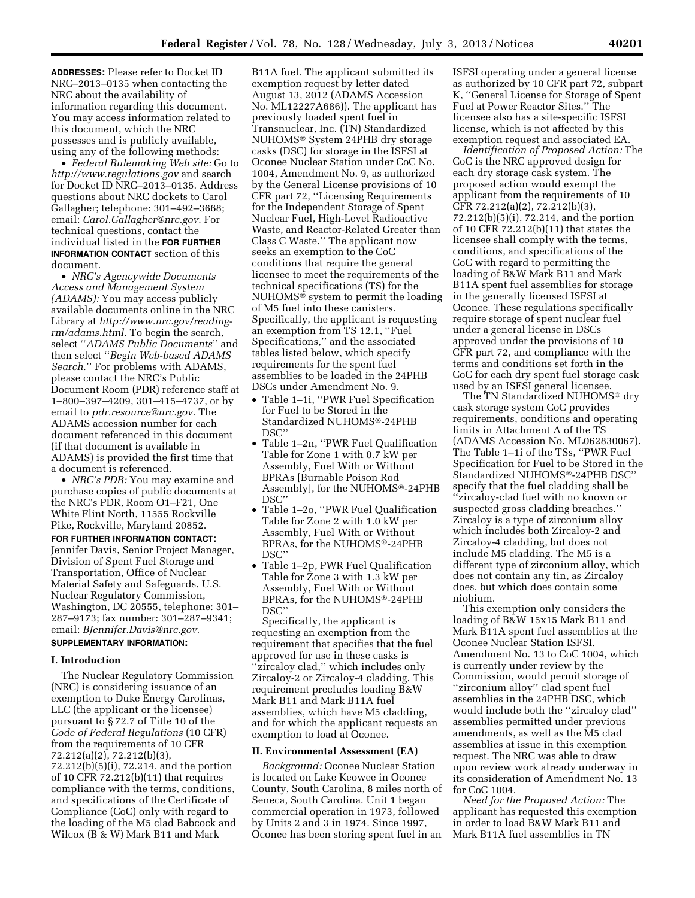**ADDRESSES:** Please refer to Docket ID NRC–2013–0135 when contacting the NRC about the availability of information regarding this document. You may access information related to this document, which the NRC possesses and is publicly available, using any of the following methods:

• *Federal Rulemaking Web site:* Go to *<http://www.regulations.gov>* and search for Docket ID NRC–2013–0135. Address questions about NRC dockets to Carol Gallagher; telephone: 301–492–3668; email: *[Carol.Gallagher@nrc.gov.](mailto:Carol.Gallagher@nrc.gov)* For technical questions, contact the individual listed in the **FOR FURTHER INFORMATION CONTACT** section of this document.

• *NRC's Agencywide Documents Access and Management System (ADAMS):* You may access publicly available documents online in the NRC Library at *[http://www.nrc.gov/reading](http://www.nrc.gov/reading-rm/adams.html)[rm/adams.html.](http://www.nrc.gov/reading-rm/adams.html)* To begin the search, select ''*ADAMS Public Documents*'' and then select ''*Begin Web-based ADAMS Search.*'' For problems with ADAMS, please contact the NRC's Public Document Room (PDR) reference staff at 1–800–397–4209, 301–415–4737, or by email to *[pdr.resource@nrc.gov.](mailto:pdr.resource@nrc.gov)* The ADAMS accession number for each document referenced in this document (if that document is available in ADAMS) is provided the first time that a document is referenced.

• *NRC's PDR:* You may examine and purchase copies of public documents at the NRC's PDR, Room O1–F21, One White Flint North, 11555 Rockville Pike, Rockville, Maryland 20852.

**FOR FURTHER INFORMATION CONTACT:**  Jennifer Davis, Senior Project Manager, Division of Spent Fuel Storage and Transportation, Office of Nuclear Material Safety and Safeguards, U.S. Nuclear Regulatory Commission, Washington, DC 20555, telephone: 301– 287–9173; fax number: 301–287–9341; email: *[BJennifer.Davis@nrc.gov.](mailto:BJennifer.Davis@nrc.gov)* 

# **SUPPLEMENTARY INFORMATION:**

## **I. Introduction**

The Nuclear Regulatory Commission (NRC) is considering issuance of an exemption to Duke Energy Carolinas, LLC (the applicant or the licensee) pursuant to § 72.7 of Title 10 of the *Code of Federal Regulations* (10 CFR) from the requirements of 10 CFR 72.212(a)(2), 72.212(b)(3), 72.212(b)(5)(i), 72.214, and the portion of 10 CFR 72.212(b)(11) that requires compliance with the terms, conditions, and specifications of the Certificate of Compliance (CoC) only with regard to the loading of the M5 clad Babcock and Wilcox (B & W) Mark B11 and Mark

B11A fuel. The applicant submitted its exemption request by letter dated August 13, 2012 (ADAMS Accession No. ML12227A686)). The applicant has previously loaded spent fuel in Transnuclear, Inc. (TN) Standardized NUHOMS® System 24PHB dry storage casks (DSC) for storage in the ISFSI at Oconee Nuclear Station under CoC No. 1004, Amendment No. 9, as authorized by the General License provisions of 10 CFR part 72, ''Licensing Requirements for the Independent Storage of Spent Nuclear Fuel, High-Level Radioactive Waste, and Reactor-Related Greater than Class C Waste.'' The applicant now seeks an exemption to the CoC conditions that require the general licensee to meet the requirements of the technical specifications (TS) for the NUHOMS $\bar{\mathbb{S}}$  system to permit the loading of M5 fuel into these canisters. Specifically, the applicant is requesting an exemption from TS 12.1, ''Fuel Specifications,'' and the associated tables listed below, which specify requirements for the spent fuel assemblies to be loaded in the 24PHB DSCs under Amendment No. 9.

- Table 1–1i, ''PWR Fuel Specification for Fuel to be Stored in the Standardized NUHOMS®-24PHB DSC''
- Table 1–2n, ''PWR Fuel Qualification Table for Zone 1 with 0.7 kW per Assembly, Fuel With or Without BPRAs [Burnable Poison Rod Assembly], for the NUHOMS®-24PHB DSC''
- Table 1–2o, ''PWR Fuel Qualification Table for Zone 2 with 1.0 kW per Assembly, Fuel With or Without BPRAs, for the NUHOMS®-24PHB DSC''
- Table 1–2p, PWR Fuel Qualification Table for Zone 3 with 1.3 kW per Assembly, Fuel With or Without BPRAs, for the NUHOMS®-24PHB DSC''

Specifically, the applicant is requesting an exemption from the requirement that specifies that the fuel approved for use in these casks is ''zircaloy clad,'' which includes only Zircaloy-2 or Zircaloy-4 cladding. This requirement precludes loading B&W Mark B11 and Mark B11A fuel assemblies, which have M5 cladding, and for which the applicant requests an exemption to load at Oconee.

#### **II. Environmental Assessment (EA)**

*Background:* Oconee Nuclear Station is located on Lake Keowee in Oconee County, South Carolina, 8 miles north of Seneca, South Carolina. Unit 1 began commercial operation in 1973, followed by Units 2 and 3 in 1974. Since 1997, Oconee has been storing spent fuel in an

ISFSI operating under a general license as authorized by 10 CFR part 72, subpart K, ''General License for Storage of Spent Fuel at Power Reactor Sites.'' The licensee also has a site-specific ISFSI license, which is not affected by this exemption request and associated EA.

*Identification of Proposed Action:* The CoC is the NRC approved design for each dry storage cask system. The proposed action would exempt the applicant from the requirements of 10 CFR 72.212(a)(2), 72.212(b)(3), 72.212(b)(5)(i), 72.214, and the portion of 10 CFR 72.212(b)(11) that states the licensee shall comply with the terms, conditions, and specifications of the CoC with regard to permitting the loading of B&W Mark B11 and Mark B11A spent fuel assemblies for storage in the generally licensed ISFSI at Oconee. These regulations specifically require storage of spent nuclear fuel under a general license in DSCs approved under the provisions of 10 CFR part 72, and compliance with the terms and conditions set forth in the CoC for each dry spent fuel storage cask used by an ISFSI general licensee.

The TN Standardized NUHOMS® dry cask storage system CoC provides requirements, conditions and operating limits in Attachment A of the TS (ADAMS Accession No. ML062830067). The Table 1–1i of the TSs, ''PWR Fuel Specification for Fuel to be Stored in the Standardized NUHOMS®-24PHB DSC'' specify that the fuel cladding shall be ''zircaloy-clad fuel with no known or suspected gross cladding breaches.'' Zircaloy is a type of zirconium alloy which includes both Zircaloy-2 and Zircaloy-4 cladding, but does not include M5 cladding. The M5 is a different type of zirconium alloy, which does not contain any tin, as Zircaloy does, but which does contain some niobium.

This exemption only considers the loading of B&W 15x15 Mark B11 and Mark B11A spent fuel assemblies at the Oconee Nuclear Station ISFSI. Amendment No. 13 to CoC 1004, which is currently under review by the Commission, would permit storage of ''zirconium alloy'' clad spent fuel assemblies in the 24PHB DSC, which would include both the ''zircaloy clad'' assemblies permitted under previous amendments, as well as the M5 clad assemblies at issue in this exemption request. The NRC was able to draw upon review work already underway in its consideration of Amendment No. 13 for CoC 1004.

*Need for the Proposed Action:* The applicant has requested this exemption in order to load B&W Mark B11 and Mark B11A fuel assemblies in TN